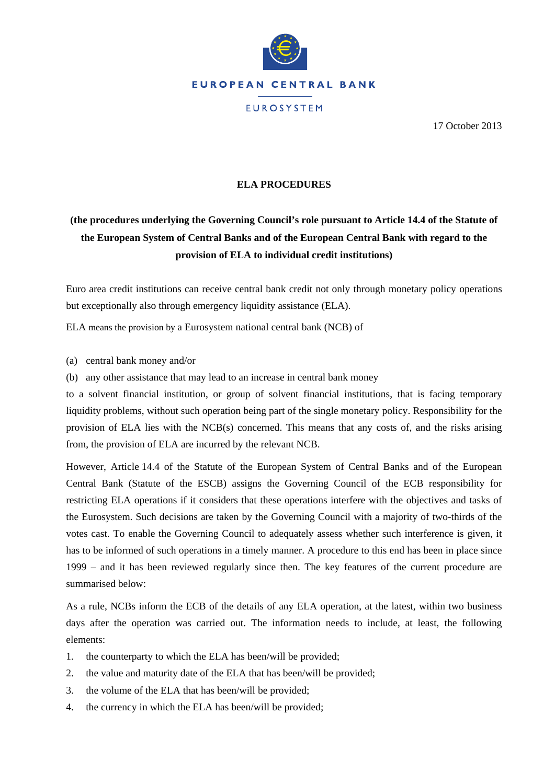

17 October 2013

## **ELA PROCEDURES**

## **(the procedures underlying the Governing Council's role pursuant to Article 14.4 of the Statute of the European System of Central Banks and of the European Central Bank with regard to the provision of ELA to individual credit institutions)**

Euro area credit institutions can receive central bank credit not only through monetary policy operations but exceptionally also through emergency liquidity assistance (ELA).

ELA means the provision by a Eurosystem national central bank (NCB) of

(a) central bank money and/or

(b) any other assistance that may lead to an increase in central bank money

to a solvent financial institution, or group of solvent financial institutions, that is facing temporary liquidity problems, without such operation being part of the single monetary policy. Responsibility for the provision of ELA lies with the NCB(s) concerned. This means that any costs of, and the risks arising from, the provision of ELA are incurred by the relevant NCB.

However, Article 14.4 of the Statute of the European System of Central Banks and of the European Central Bank (Statute of the ESCB) assigns the Governing Council of the ECB responsibility for restricting ELA operations if it considers that these operations interfere with the objectives and tasks of the Eurosystem. Such decisions are taken by the Governing Council with a majority of two-thirds of the votes cast. To enable the Governing Council to adequately assess whether such interference is given, it has to be informed of such operations in a timely manner. A procedure to this end has been in place since 1999 – and it has been reviewed regularly since then. The key features of the current procedure are summarised below:

As a rule, NCBs inform the ECB of the details of any ELA operation, at the latest, within two business days after the operation was carried out. The information needs to include, at least, the following elements:

- 1. the counterparty to which the ELA has been/will be provided;
- 2. the value and maturity date of the ELA that has been/will be provided;
- 3. the volume of the ELA that has been/will be provided;
- 4. the currency in which the ELA has been/will be provided;